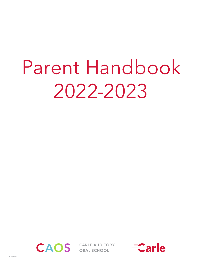# Parent Handbook 2022-2023



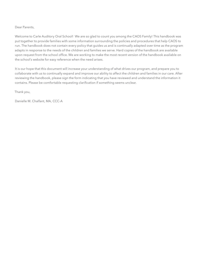### Dear Parents,

Welcome to Carle Auditory Oral School! We are so glad to count you among the CAOS Family! This handbook was put together to provide families with some information surrounding the policies and procedures that help CAOS to run. The handbook does not contain every policy that guides us and is continually adapted over time as the program adapts in response to the needs of the children and families we serve. Hard copies of the handbook are available upon request from the school office. We are working to make the most recent version of the handbook available on the school's website for easy reference when the need arises.

It is our hope that this document will increase your understanding of what drives our program, and prepare you to collaborate with us to continually expand and improve our ability to affect the children and families in our care. After reviewing the handbook, please sign the form indicating that you have reviewed and understand the information it contains. Please be comfortable requesting clarification if something seems unclear.

Thank you,

Danielle M. Chalfant, MA, CCC-A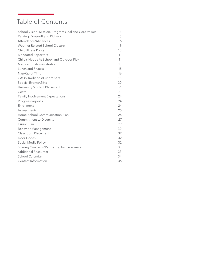# Table of Contents

| School Vision, Mission, Program Goal and Core Values | 3  |
|------------------------------------------------------|----|
| Parking, Drop-off and Pick-up                        | 3  |
| Attendance/Absences                                  | 6  |
| Weather Related School Closure                       | 9  |
| Child Illness Policy                                 | 10 |
| <b>Mandated Reporters</b>                            | 11 |
| Child's Needs At School and Outdoor Play             | 11 |
| <b>Medication Administration</b>                     | 13 |
| Lunch and Snacks                                     | 15 |
| Nap/Quiet Time                                       | 16 |
| <b>CAOS Traditions/Fundraisers</b>                   | 18 |
| Special Events/Gifts                                 | 20 |
| University Student Placement                         | 21 |
| Costs                                                | 21 |
| <b>Family Involvement Expectations</b>               | 24 |
| Progress Reports                                     | 24 |
| Enrollment                                           | 24 |
| Assessments                                          | 25 |
| Home-School Communication Plan                       | 25 |
| <b>Commitment to Diversity</b>                       | 27 |
| Curriculum                                           | 27 |
| <b>Behavior Management</b>                           | 30 |
| <b>Classroom Placement</b>                           | 32 |
| Door Codes                                           | 32 |
| Social Media Policy                                  | 32 |
| Sharing Concerns/Partnering for Excellence           | 33 |
| <b>Additional Resources</b>                          | 33 |
| School Calendar                                      | 34 |
| Contact Information                                  | 36 |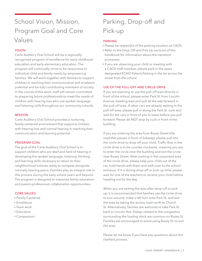# School Vision, Mission, Program Goal and Core Values

### VISION

Carle Auditory Oral School will be a regionally recognized program of excellence for early childhood education and early elementary education. The program will continually strive to be responsive to individual child and family needs by empowering families. We will work together with families to support children in reaching their communicative and academic potential and be fully contributing members of society. In the course of this work, staff will remain committed to preparing future professionals to meet the needs of children with hearing loss who use spoken language and listening skills throughout our community schools.

### MISSION

Carle Auditory Oral School provides a nurturing, family-centered environment that supports children with hearing loss and normal hearing in reaching their communication and learning potential.

#### PROGRAM GOAL

The goal of the Carle Auditory Oral School is to support children who are deaf and hard of hearing in developing the spoken language, listening, thinking and learning skills necessary to return to their neighborhood schools ready to compete alongside normally hearing peers. Families play an integral role in this process during the early school years and beyond. The program is designed to maximize family education and parent-professional collaboration opportunities.

### CORE VALUES

- Family Centered
- Excellence
- Team work
- Education
- Compassion

### Parking, Drop-off and Pick-up

### PARKING

- Please be respectful of the parking situation at CAOS.
- Refer to the Drop Off and Pick Up sections of this handbook for information about the transition processes.
- If you are observing your child or meeting with a CAOS staff member, please park in the spots designated ECHO Patient Parking in the lot across the street from the school.

### USE OF THE PULL-OFF AND CIRCLE DRIVE

If you are planning to use the pull-off area directly in front of the school, please enter Park St. from Lincoln Avenue, heading east and pull all the way forward in the pull-off area. If other cars are already waiting in the pull-off area, please pull in along the Park St. curb and wait for the cars in front of you to leave before you pull forward. Please do NOT stop by curb in front of the building.

If you are entering the area from Busey Street (the road that passes in front of Subway), please pull into the circle drive to drop off your child. Traffic flow in the circle drive is to be counter clockwise, meaning you are to enter the circle near the building and exit the circle near Busey Street. After parking in the unpainted area of the circle drive, please help your child out of the car, hold hands with them and walk over to the school entrance. If it is during drop-off or pick-up time, please wait for one of the teachers to receive your child before heading out for the day.

When you are exiting the area after drop-off or pick up, it is recommended that families use the circle drive to turn around, make a left turn onto Park St. and exit the area by taking the access road north to Church St. Alternatively, families are welcome to take Park St. back to Lincoln Ave. Delays related to the congestion surrounding the loading dock are common on Busey St. Families are encouraged to avoid using Busey St. to exit the area.

Please let me know if you have any questions about this clarified process.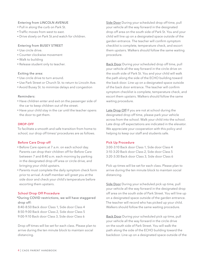### Entering from LINCOLN AVENUE

- Pull in along the curb on Park St.
- Traffic moves from west to east.
- Drive slowly on Park St.and watch for children.

#### Entering from BUSEY STREET

- Use circle drive.
- Counter clockwise movement
- Walk to building
- Release student only to teacher.

#### Exiting the area:

- Use circle drive to turn around.
- Use Park Street or Church St. to return to Lincoln Ave.
- Avoid Busey St. to minimize delays and congestion

#### Reminders:

- Have children enter and exit on the passenger side of the car to keep children out of the street.
- Have your child stay in the car until the teacher opens the door to get them.

#### DROP-OFF

To facilitate a smooth and safe transition from home to school, our drop off times/ procedures are as follows.

#### Before Care Drop-off

- Before Care opens at 7 a.m. on each school day. Parents can drop their children off for Before Care between 7 and 8:40 a.m. each morning by parking in the designated drop off area or circle drive, and bringing your child upstairs.
- Parents must complete the daily symptom check form prior to arrival. A staff member will greet you at the side door and check your child's temperature before escorting them upstairs.

#### School Drop Off Procedure

\*During COVID restrictions, we will have staggered drop off:

8:40-8:50 Back door Class 1, Side door Class 4 8:50-9:00 Back door Class 2, Side door Class 5 9:00-9:10 Back door Class 3, Side door Class 6

Drop off times will be set for each class. Please plan to arrive during the ten minute block to maintain social distancing.

Side Door During your scheduled drop off time, pull your vehicle all the way forward in the designated drop off area on the south side of Park St. You and your child will line up on a designated space outside of the garden entrance. The teacher will confirm symptom checklist is complete, temperature check, and escort them upstairs. Walkers should follow the same waiting procedure.

Back Door During your scheduled drop off time, pull your vehicle all the way forward in the circle drive on the south side of Park St. You and your child will walk the path along the side of the ECHO building toward the back door. Line up on a designated space outside of the back door entrance. The teacher will confirm symptom checklist is complete, temperature check, and escort them upstairs. Walkers should follow the same waiting procedure.

Late Drop Off If you are not at school during the designated drop off time, please park your vehicle across from the school. Walk your child into the school. Late drop off expectations are indicated in the elevator. We appreciate your cooperation with this policy and helping to keep our staff and students safe.

#### Pick Up Procedure

3:00-3:10 Back door Class 1, Side door Class 4 3:10-3:20 Back door Class 2, Side door Class 5 3:20-3:30 Back door Class 3, Side door Class 6

Pick up times will be set for each class. Please plan to arrive during the ten minute block to maintain social distancing.

Side Door During your scheduled pick up time, pull your vehicle all the way forward in the designated drop off area on the south side of Park Street. You will line up on a designated space outside of the garden entrance. The teacher will record who has picked up your child. Walkers should follow the same waiting procedure.

Back Door During your scheduled pick up time, pull your vehicle all the way forward in the circle drive on the south side of Park Street. You will walk the path along the side of the ECHO building toward the backdoor. Line up on a designated space outside of the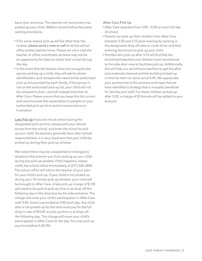back door entrance. The teacher will record who has picked up your child. Walkers should follow the same waiting procedure.

- If for some reason pick-up will be other than the routine, please send a note or call to let the school office and/or teacher know. Please do not e-mail the teacher or office coordinator as there may not be an opportunity for them to check their e-mail during the day.
- In the event that the teacher does not recognize the person picking up a child, they will ask for photo identification and compare the name to the authorized pick up list provided by each family. If the person is not on the authorized pick up list, your child will not be released to them, and will instead transition to After Care. Please ensure that you keep this list current and communicate this expectation to people on your authorized pick up list to avoid inconvenience or frustration.

Late Pick Up If you are not at school during the designated pick up time, *please park your vehicle across from the school, and enter the school to pick up your child*. As teachers generally have after-school responsibilities, it is very important that your child be picked up during their pick-up window.

We realize there may be unexpected or emergency situations that prevent you from picking up your child during the pick-up window. If this happens, please notify the school office immediately at (217) 326-2824. The school office will inform the teacher of your plan for your child's pick up. If your child is not picked up during your 10 minute pick-up window, your child will be brought to After Care. A late pick up charge of \$1.00 will need to be paid at pick-up time or at drop-off the following day in the drop box by the side entrance. This charge will cover your child's participation in After Care until 3:40. Snack is provided at 3:40 each day. Any child who is not picked up by this time must pay for the full drop in rate of \$10.81 at pick-up time or at drop-off the following day. This charge will cover your child's participation in After Care for the day. You may pick up any time before 5:30 PM.

### After Care Pick Up

- After Care operates from 3:00 5:30 on each full day of school.
- Parents can pick up their children from After Care between 3:30 and 5:15 each evening by parking in the designated drop off area or circle drive, and then entering the shcool to pick up your child.
- Families who pick up after 5:15 will find that the enrichment teachers and children have transitioned to the side door area to facilitate pick up. Additionally, this will help our enrichment teachers to get the aftercare materials cleaned and the building locked up in time for them to clock out at 5:45. We appreciate your partnership in this process and hope that we have identified a strategy that is mutually beneficial for families and staff. For those children picked up after 5:30, a charge of \$1/minute will be added to your account.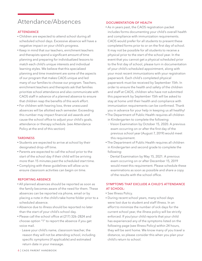### Attendance/Absences

### **ATTENDANCE**

- Children are expected to attend school during all scheduled school days. Excessive absence will have a negative impact on your child's progress.
- Keep in mind that our teachers, enrichment teachers and therapists spend a significant amount of time planning and preparing for individualized lessons to match each child's unique interests and individual learning styles. We believe that this specialized planning and time investment are some of the aspects of our program that makes CAOS unique and led many of our families to choose our program. Teachers, enrichment teachers and therapists ask that families prioritize school attendance and also communicate with CAOS staff in advance of a planned absence to ensure that children reap the benefits of this work effort.
- For children with hearing loss, three unexcused absences will be allotted each semester. Exceeding this number may impact financial aid awards and cause the school office to adjust your child's goals, attendance or therapy schedule. (see Attendance Policy at the end of this section)

#### **TARDINESS**

- Students are expected to arrive at school by their designated drop-off time.
- Parents are expected to call the school prior to the start of the school day if their child will be arriving more than 15 minutes past the scheduled start time.
- Complying with these guidelines will allow us to ensure classroom activities can begin on time.

### REPORTING ABSENCE

- All planned absences should be reported as soon as the family becomes aware of the need for them. These absences can be reported via phone, email or by placing a note in the child's take home folder prior to a scheduled absence.
- Absence due to illness should be reported no later than the start of your child's school day.
- Please call the school office at (217) 326–2824 and choose option "1" to report the absence if you get voice mail.
	- Leave your child's name, classroom teacher, the reason they will not be attending school, including specific symptoms (if applicable) and estimated return date in your message.

### DOCUMENTATION OF HEALTH

- As in years past, the CAOS registration packet includes forms documenting your child's overall health and compliance with immunization requirements. CAOS would prefer for all students to present these completed forms prior to or on the first day of school. It may not be possible for all students to receive a physical prior to the start of the school year. In the event that you cannot get a physical scheduled prior to the first day of school, please turn in documentation of your child's scheduled appointment, along with your most recent immunizations with your registration paperwork. Each child's completed physical paperwork must be received by September 15th. In order to ensure the health and safety of the children and staff at CAOS, children who have not submitted this paperwork by September 15th will be asked to stay at home until their health and compliance with immunization requirements can be confirmed. Thank you in advance for your help in keeping us all healthy!
- The Department of Public Health requires all children in Kindergarten to complete the following:
	- Vision Examination by October 15, 2020. A previous exam occurring on or after the first day of the previous school year (August 7, 2019) would meet this requirement.
- The Department of Public Health requires all children in Kindergarten and second grade to complete the following:
	- Dental Examination by May 15, 2021. A previous exam occurring on or after December 15, 2019 would meet this requirement. Please schedule these examinations as soon as possible and share a copy of the results with the school office.

### SYMPTOMS THAT EXCLUDE A CHILD'S ATTENDANCE AT SCHOOL:

- See Illness Policy.
- During recent school years, many school days were lost due to student and staff illness. In an effort to minimize the number of sick days for the current school year, the illness policy will be strictly enforced. If you/your child reports that your child has experienced any of the symptoms listed on the following page (see Illness Policy) within 24 hours, they will be sent home. We know many of you travel a distance, so please consider this when you plan your child's return to school.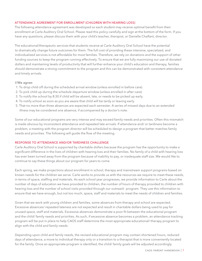### ATTENDANCE AGREEMENT FOR ENROLLMENT (CHILDREN WITH HEARING LOSS)

The following attendance agreement was developed so each student may receive optimal benefit from their enrollment at Carle Auditory Oral School. Please read this policy carefully and sign at the bottom of the form. If you have any questions, please discuss them with your child's teacher, therapist, or Danielle Chalfant, director.

The educational/therapeutic services that students receive at Carle Auditory Oral School have the potential to dramatically change future outcomes for them. The full cost of providing these intensive, specialized, and individualized services is not affordable for most families. Therefore, we rely on donations and the support of other funding sources to keep the program running effectively. To ensure that we are fully maximizing our use of donated dollars and maintaining levels of productivity that will further enhance your child's education and therapy, families should demonstrate a strong commitment to the program and this can be demonstrated with consistent attendance and timely arrivals.

#### I/We agree:

- 1. To drop child off during the scheduled arrival window (unless enrolled in before care).
- 2. To pick child up during the schedule departure window (unless enrolled in after care).
- 3. To notify the school by 8:30 if child will be absent, late, or needs to be picked up early.
- 4. To notify school as soon as you are aware that child will be tardy or leaving early.
- 5. That no more than three absences are expected each semester. A series of missed days due to an extended illness may be considered one absence, if accompanied by a doctor's note.

Some of our educational programs are very intense and may exceed family needs and priorities. Often this mismatch is made obvious by inconsistent attendance and repeated late arrivals. If attendance and/ or tardiness become a problem, a meeting with the program director will be scheduled to design a program that better matches family needs and priorities. The following will guide the flow of the meeting.

#### RESPONSE TO ATTENDANCE AND/OR TARDINESS CHALLENGE

Carle Auditory Oral School is supported by charitable dollars because the program has the opportunity to make a significant difference in the lives of children with hearing loss and their families. No family of a child with hearing loss has ever been turned away from the program because of inability to pay, or inadequate staff size. We would like to continue to say these things about our program for years to come.

Each spring, we make projections about enrollment in school, therapy and mainstream support programs based on known needs for the children we serve. Carle works to provide us with the resources we require to meet these needs, in terms of space, staffing and materials. As each school year progresses, we provide information to Carle about the number of days of education we have provided to children, the number of hours of therapy provided to children with hearing loss and the number of school visits provided through our outreach program. They use this information to ensure that we have enough, but not too much, space, staff and materials to meet the needs of children and families.

Given that we work with young children and families, some absences from therapy and school are expected. Excessive absences/ repeated lateness are not expected and result in charitable dollars being used to pay for unused space, staff and materials. Excessive absences demonstrate a poor fit between the educational program and the child/ family needs and priorities. As such, if excessive absence becomes a problem, an attendance tracking program will be put in place to help CAOS staff determine the most appropriate educational/ therapy program to align with the child and family needs.

Depending upon child and family needs, the revised educational program may contain shortened hours, reduced days of attendance, a move to individual therapy only or a transition to a therapist that is more conveniently located for the family. Once an appropriate program is identified, the child/ family goals will be adjusted accordingly.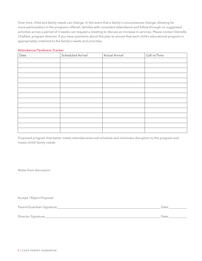Over time, child and family needs can change. In the event that a family's circumstances change, allowing for more participation in the programs offered, families with consistent attendance and follow through on suggested activities across a period of 3 weeks can request a meeting to discuss an increase in services. Please contact Danielle Chalfant, program director, if you have questions about this plan to ensure that each child's educational program is appropriately matched to the family's needs and priorities.

#### Attendance/Tardiness Tracker

| Date | <b>Scheduled Arrival</b> | <b>Actual Arrival</b> | Call in/Time |
|------|--------------------------|-----------------------|--------------|
|      |                          |                       |              |
|      |                          |                       |              |
|      |                          |                       |              |
|      |                          |                       |              |
|      |                          |                       |              |
|      |                          |                       |              |
|      |                          |                       |              |
|      |                          |                       |              |
|      |                          |                       |              |
|      |                          |                       |              |
|      |                          |                       |              |
|      |                          |                       |              |
|      |                          |                       |              |
|      |                          |                       |              |
|      |                          |                       |              |

Proposed program that better meets attendance/arrival schedule and minimizes disruption to the program and meets child/ family needs:

Notes from discussion:

Accept / Reject Proposal

Parent/Guardian Signature: Date:

Director Signature: Date: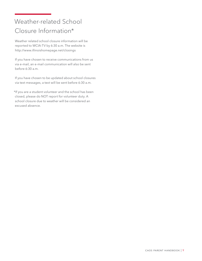# Weather-related School Closure Information\*

Weather related school closure information will be reported to WCIA-TV by 6:30 a.m. The website is http://www.illinoishomepage.net/closings

If you have chosen to receive communications from us via e-mail, an e-mail communication will also be sent before 6:30 a.m.

If you have chosen to be updated about school closures via text messages, a text will be sent before 6:30 a.m.

\*If you are a student volunteer and the school has been closed, please do NOT report for volunteer duty. A school closure due to weather will be considered an excused absence.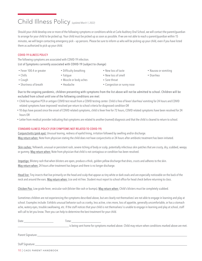### Child Illness Policy *(updated March 1, 2022)*

Should your child develop one or more of the following symptoms or conditions while at Carle Auditory Oral School, we will contact the parent/guardian to arrange for your child to be picked up. Your child must be picked up as soon as possible. If we are not able to reach a parent/guardian within 15 minutes, we will begin contacting emergency pick – up persons. Please be sure to inform us who will be picking up your child, even if you have listed them as authorized to pick up your child.

### COVID-19 ILLNESS POLICY

The following symptoms are associated with COVID-19 infection.

List of Symptoms currently associated with COVID-19 (subject to change)

- Fever 100.4 or greater
- Difficulty breathing

• Muscle or body aches

• Fatigue

- New loss of taste
- New loss of smell
- Nausea or vomiting
- Diarrhea

• Sore throat

• Shortness of breath

• Chills • Cough

• Headache

• Congestion or runny nose

Due to the ongoing pandemic, children presenting with symptoms from the list above will not be admitted to school. Children will be excluded from school until one of the following conditions are met:

- Child has negative PCR or antigen COVID test result from a COVID testing center. Child is free of fever/ diarrhea/ vomiting for 24 hours and COVID related symptoms have improved/ resolved per return to school criteria for diagnosed condition OR
- 10 days have passed since the onset of COVID related symptoms, child is fever free for 72 hours, COVID related symptoms have been resolved for 24 hours OR
- Letter from medical provider indicating that symptoms are related to another (named) diagnosis and that the child is cleared to return to school.

### STANDARD ILLNESS POLICY (FOR SYMPTOMS NOT RELATED TO COVID-19)

Time:

Conjunctivitis (pink eye): Unusual tearing, redness of eyelid lining, irritation followed by swelling and/or discharge. May return when: Note from physician stating the child does not have conjunctivitis or 24 hours after antibiotic treatment has been initiated.

Skin rashes: Yellowish, unusual or persistent rash, severe itching of body or scalp, potentially infectious skin patches that are crusty, dry, scabbed, weepy or gummy. May return when: Note from physician that child is not contagious or condition has been resolved.

Impetigo: Blistery rash that when blisters are open, produce a thick, golden yellow discharge that dries, crusts and adheres to the skin. May return when: 24 hours after treatment has begun and there is no longer discharge.

Head lice: Tiny insects that live primarily on the head and scalp that appear as tiny white or dark ovals and are especially noticeable on the back of the neck and around the ears. May return when: Lice and nit free. Student must report to school office for head check before returning to class.

Chicken Pox: Low grade fever, vesicular rash (blister-like rash or bumps). May return when: Child's blisters must be completely scabbed.

Sometimes children are not experiencing the symptoms described above, but are clearly not themselves/ are not able to engage in learning and play at school. Examples include: Exhibits unusual behavior such as cranky, less active, cries more, loss of appetite, generally uncomfortable, or has a stomach ache, watery eyes, trouble swallowing, etc. If the staff notices that your child is not themselves/ is unable to engage in learning and play at school, staff will call to let you know. Then you can help to determine the best treatment for your child.

is being sent home for symptoms marked above. Child may return when conditions marked above are met.

Parent Signature:

Staff Signature:

10 | CAOS PARENT HANDBOOK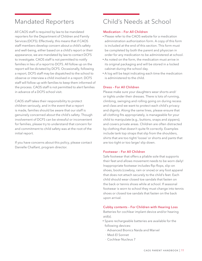### Mandated Reporters

All CAOS staff is required by law to be mandated reporters for the Department of Children and Family Services (DCFS). Effectively, this means that if CAOS staff members develop concern about a child's safety and well-being, either based on a child's report or their appearance, we are mandated by law to contact DCFS to investigate. CAOS staff is not permitted to notify families in lieu of a report to DCFS. All follow up on the report will be dictated by DCFS. Occasionally, following a report, DCFS staff may be dispatched to the school to observe or interview a child involved in a report. DCFS staff will follow up with families to keep them informed of the process. CAOS staff is not permitted to alert families in advance of a DCFS school visit.

CAOS staff takes their responsibility to protect children seriously, and in the event that a report is made, families should be aware that our staff is genuinely concerned about the child's safety. Though involvement of DCFS can be stressful or inconvenient for families, please try to understand that concern for and commitment to child safety was at the root of the initial report.

If you have concerns about this policy, please contact Danielle Chalfant, program director.

### Child's Needs at School

### Medication – For All Children

- Please refer to the CAOS website for a medication administration authorization form. A copy of this form is included at the end of this section. This form must be completed by both the parent and physician in order for any medication to be administered at school.
- As noted on the form, the medication must arrive in its original packaging and will be stored in a locked cabinet during the school day.
- A log will be kept indicating each time the medication is administered to the child.

### Dress – For All Children

Please make sure your daughters wear shorts and/ or tights under their dresses. There is lots of running, climbing, swinging and rolling going on during recess and class and we want to protect each child's privacy and dignity. Along the same lines, please ensure that all clothing fits appropriately, is manageable for your child to manipulate (e.g., buttons, snaps and zippers), and covers private areas. Children are often distracted by clothing that doesn't quite fit correctly. Examples include tank top straps that slip from the shoulders, shirts that are too tight/ loose/ or shorts and pants that are too tight or too large/ slip down.

### Footwear – For All Children

Safe footwear that offers a pliable sole that supports their feet and allows movement needs to be worn daily! Inappropriate footwear includes flip-flops, slip-on shoes, boots (cowboy, rain or snow) or any foot apparel that does not attach securely to the child's feet. Each child should wear closed toe sandals that fasten on the back or tennis shoes while at school. If seasonal footwear is worn to school they must change into tennis shoes or closed toe sandals that fasten on the back upon arrival.

#### Cubby contents – For Children with Hearing Loss

Batteries for cochlear implant device and/or hearing aid(s).

- Spare rechargeable batteries are available for the following devices:
	- Advanced Bionics Naida and Marvel
	- Med-El Sonnet
	- Cochlear Nucleus 7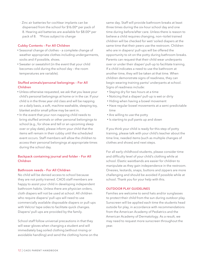– Zinc air batteries for cochlear implants can be dispensed from the school for \$16.00\* per pack of 8. Hearing aid batteries are available for \$8.00\* per pack of 8. *\*Prices subject to change*

### Cubby Contents – For All Children

- Seasonal change of clothes a complete change of weather appropriate clothes including undergarments, socks and if possible, shoes.
- Sweater or sweatshirt (in the event that your child becomes cold during the school day – the room temperatures are variable).

### Stuffed animals/personal belongings – For All Children

- Unless otherwise requested, we ask that you leave your child's personal belongings at home or in the car. If your child is in the three year old class and will be napping on a daily basis, a soft, machine washable, sleeping toy, blanket and/or small pillow may be sent in.
- In the event that your non-napping child needs to bring stuffed animals or other personal belongings to school (e.g., for show and tell or an upcoming sleep over or play date), please inform your child that the items will remain in their cubby until the scheduled event occurs. Staff members will allow the children to access their personal belongings at appropriate times during the school day.

### Backpack containing journal and folder – For All Children

#### Bathroom needs – For All Children

No child will be denied access to school because they are not potty trained. CAOS staff members are happy to assist your child in developing independent bathroom habits. Unless there are physician orders, cloth diapers will not be used at school. All children who require diapers/ pull-ups will need to use commercially available disposable diapers or pull-ups with Velcro/ tape sides to facilitate quick changes. Diapers/ pull-ups are provided by the family.

School staff follow universal precautions in that they will wear gloves when changing a student and will immediately bag soiled clothing (without rinsing or avoidable handling) and send the clothing home on the

same day. Staff will provide bathroom breaks at least three times during the six-hour school day and one time during before/after care. Unless there is reason to believe a child requires changing, non—toilet trained children will be checked for wet/ soiled diapers at the same time that their peers use the restroom. Children who are in diapers/ pull-ups will be offered the opportunity to sit on the potty during bathroom breaks. Parents can request that their child wear underpants over or under their diaper/ pull-up to facilitate training. If a child indicates a need to use the bathroom at another time, they will be taken at that time. When children demonstrate signs of readiness, they can begin wearing training pants/ underpants at school. Signs of readiness include:

- Staying dry for two hours at a time
- Noticing that a diaper/ pull-up is wet or dirty
- Hiding when having a bowel movement
- Have regular bowel movements at a semi-predictable time
- Are willing to use the potty
- Is starting to pull pants up and down

If you think your child is ready for this step of potty training, please talk with your child's teacher about the time line, needed items (such as multiple changes of clothes and shoes) and next steps.

For all early childhood students, please consider time and difficulty level of your child's clothing while at school. Elastic waistbands are easier for children to manipulate as they gain independence in the restroom. Onesies, leotards, snaps, buttons and zippers are more challenging and should be avoided if possible while at school. Thank you for your help with this.

### OUTDOOR PLAY GUIDELINES

Families are welcome to send hats and/or sunglasses to protect their child from the sun during outdoor play. Sunscreen will be applied each time the students head outside for play, in accordance with recommendations from the American Academy of Pediatrics and the American Academy of Dermatology. As a result, we may need to request more sunscreen throughout the year.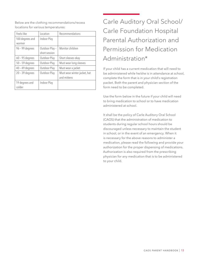Below are the clothing recommendations/recess locations for various temperatures:

| Feels-like        | Location       | Recommendations              |
|-------------------|----------------|------------------------------|
| 100 degrees and   | Indoor Play    |                              |
| warmer            |                |                              |
| 96 - 99 degrees   | Outdoor Play - | Monitor children             |
|                   | short session  |                              |
| $60 - 95$ degrees | Outdoor Play   | Short sleeves okay           |
| $50 - 59$ degrees | Outdoor Play   | Must wear long sleeves       |
| $40 - 49$ degrees | Outdoor Play   | Must wear a jacket           |
| $20 - 39$ degrees | Outdoor Play   | Must wear winter jacket, hat |
|                   |                | and mittens                  |
| 19 degrees and    | Indoor Play    |                              |
| colder            |                |                              |

# Carle Auditory Oral School/ Carle Foundation Hospital Parental Authorization and Permission for Medication Administration\*

If your child has a current medication that will need to be administered while he/she is in attendance at school, complete the form that is in your child's registration packet. Both the parent and physician section of the form need to be completed.

Use the form below in the future if your child will need to bring medication to school or to have medication administered at school.

It shall be the policy of Carle Auditory Oral School (CAOS) that the administration of medication to students during regular school hours should be discouraged unless necessary to maintain the student in school, or in the event of an emergency. When it is necessary for the above reasons to administer a medication, please read the following and provide your authorization for the proper dispensing of medications. Authorization is also required from the prescribing physician for any medication that is to be administered to your child.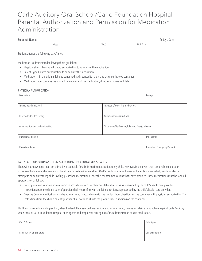### Carle Auditory Oral School/Carle Foundation Hospital Parental Authorization and Permission for Medication Administration

| Student's Name:                                                          |                                                                                                                                                  |                                                                                                                                                                                                          |                                                      | Today's Date: |
|--------------------------------------------------------------------------|--------------------------------------------------------------------------------------------------------------------------------------------------|----------------------------------------------------------------------------------------------------------------------------------------------------------------------------------------------------------|------------------------------------------------------|---------------|
|                                                                          | (Last)                                                                                                                                           | (First)                                                                                                                                                                                                  | <b>Birth Date</b>                                    |               |
| Student attends the following days/times:                                |                                                                                                                                                  |                                                                                                                                                                                                          |                                                      |               |
| Medication is administered following these guidelines:<br>$\bullet$<br>۰ | Physician/Prescriber signed, dated authorization to administer the medication<br>Parent signed, dated authorization to administer the medication |                                                                                                                                                                                                          |                                                      |               |
| ۰<br>$\bullet$<br>PHYSICIAN AUTHORIZATION:                               |                                                                                                                                                  | Medication is in the original labeled contained as dispensed (or the manufacturer's labeled container<br>Medication label contains the student name, name of the medication, directions for use and date |                                                      |               |
| Medication:                                                              |                                                                                                                                                  |                                                                                                                                                                                                          | Dosage:                                              |               |
|                                                                          |                                                                                                                                                  |                                                                                                                                                                                                          |                                                      |               |
| Time to be administered:                                                 |                                                                                                                                                  | Intended effect of this medication:                                                                                                                                                                      |                                                      |               |
| Expected side effects, if any:                                           |                                                                                                                                                  | Administration instructions:                                                                                                                                                                             |                                                      |               |
| Other medications student is taking:                                     |                                                                                                                                                  |                                                                                                                                                                                                          | Discontinue/Re-Evaluate/Follow-up Date (circle one): |               |
| Physicians Signature:                                                    |                                                                                                                                                  |                                                                                                                                                                                                          | Date Signed:                                         |               |

Physician's Emergency Phone #: Physician's Emergency Phone #: Physician's Emergency Phone #:

#### PARENT AUTHORIZATION AND PERMISSION FOR MEDICATION ADMINISTRATION

I herewith acknowledge that I am primarily responsible for administering medication to my child. However, in the event that I am unable to do so or in the event of a medical emergency, I hereby authorization Carle Auditory Oral School and its employees and agents, on my behalf, to administer or attempt to administer to my child lawfully prescribed medication or over-the-counter medications that I have provided. These medications must be labeled appropriately as follows:

- Prescription medication is administered in accordance with the pharmacy label directions as prescribed by the child's health care provider. Instructions from the child's parent/guardian shall not conflict with the label directions as prescribed by the child's health care provider.
- Over the Counter medications may be administered in accordance with the product label directions on the container with physician authorization. The instructions from the child's parent/guardian shall not conflict with the product label directions on the container.

I further acknowledge and agree that, when the lawfully prescribed medication is so administered, I waive any claims I might have against Carle Auditory Oral School or Carle Foundation Hospital or its agents and employees arising out of the administration of said medication.

| Child's Name:              | Date Signed:     |
|----------------------------|------------------|
| Parent/Guardian Signature: | Contact Phone #: |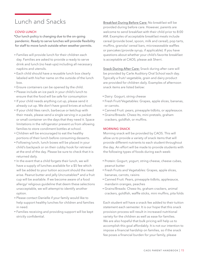### Lunch and Snacks

### COVID LUNCH

\*Our lunch policy is changing due to the on-going pandemic. Ready to serve lunches will provide flexibility for staff to move lunch outside when weather permits.

- Families will provide lunch for their children each day. Families are asked to provide a ready to serve drink and lunch (no heat-ups) including all necessary napkins and utensils.
- Each child should have a reusable lunch box clearly labeled with his/her name on the outside of the lunch box.
- Ensure containers can be opened by the child.
- Please include an ice pack in your child's lunch to ensure that the food will be safe for consumption
- If your child needs anything cut up, please send it already cut up. We don't have good knives at school.
- If your child likes ranch, barbecue or ketchup with their meals, please send a single serving in a packet or small container on the days that they need it. Space limitations in the refrigerator prevent us from allowing families to store condiment bottles at school.
- Children will be encouraged to eat the healthy portions of their lunch before consuming desserts.
- Following lunch, lunch boxes will be placed in your child's backpack or on their cubby hook for retrieval at the end of the day. Please be sure to check that it is returned daily.
- In the event that a child forgets their lunch, we will have a supply of lunches available for a \$5 fee which will be added to your tuition account should the need arise. Peanut butter and jelly Uncrustables® and a fruit cup will be available. If we become aware of a food allergy/ religious guideline that deem these selections unacceptable, we will attempt to identify another option.
- Please contact Danielle if your family would like to help support healthy lunches for children and families in need.
- Families receiving and providing support will be kept strictly confidential.

Breakfast During Before Care: No breakfast will be provided during before care. However, parents are welcome to send breakfast with their child prior to 8:00 AM. Examples of acceptable breakfast meals include cereal (provide bowl, spoon, milk and cereal), pop tarts, muffins, granola/ cereal bars, microwaveable waffles or pancakes (provide syrup, if applicable). If you have questions about whether your child's favorite breakfast is acceptable at CAOS, please ask Sherri.

Snack During After Care: Snack during after care will be provided by Carle Auditory Oral School each day. Typically a fruit/ vegetable, grain and dairy product are provided for children daily. Examples of afternoon snack items are listed below:

- Dairy: Gogurt, string cheese
- Fresh Fruit/Vegetables: Grapes, apple slices, bananas, or carrots.
- Canned Fruit: pears, pineapple tidbits, or applesauce.
- Grains/Breads: Cheez-Its, mini pretzels, graham crackers, goldfish, or muffins.

### MORNING SNACK

Morning snack will be provided by CAOS. This will allow us to provide a variety of snack items that will provide different nutrients to each student throughout the day. An effort will be made to provide students with the following types of foods during each week:

- Protein: Gogurt, yogurt, string cheese, cheese cubes, peanut butter
- Fresh Fruits and Vegetables: Grapes, apple slices, bananas, carrots, raisins
- Canned Fruit: Pears, pineapple tidbits, applesauce, mandarin oranges, peaches
- Grains/Breads: Cheez-Its, graham crackers, animal crackers, goldfish, waffle sticks, mini muffins, pita folds

Each student will have a snack fee added to their tuition statement each semester. It is our hope that this snack provision process will result in increased nutritional variety for the children as well as ease for families. We are also hopeful that bulk pricing will help us to accomplish this goal affordably. It is not our intention to impose a financial hardship on families, so if the snack fee poses a financial burden for your family, please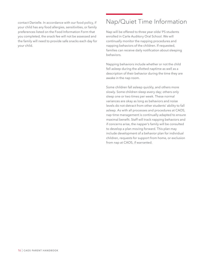contact Danielle. In accordance with our food policy, if your child has any food allergies, sensitivities, or family preferences listed on the Food Information Form that you completed, the snack fee will not be assessed and the family will need to provide safe snacks each day for your child.

### Nap/Quiet Time Information

Nap will be offered to three year olds/ PS students enrolled in Carle Auditory Oral School. We will continually monitor the napping procedures and napping behaviors of the children. If requested, families can receive daily notification about sleeping behaviors.

Napping behaviors include whether or not the child fell asleep during the allotted naptime as well as a description of their behavior during the time they are awake in the nap room.

Some children fall asleep quickly, and others more slowly. Some children sleep every day; others only sleep one or two times per week. These normal variances are okay as long as behaviors and noise levels do not detract from other students' ability to fall asleep. As with all processes and procedures at CAOS, nap time management is continually adapted to ensure maximal benefit. Staff will track napping behaviors and if concerns arise, the napper's family will be consulted to develop a plan moving forward. This plan may include development of a behavior plan for individual children, requests for support from home, or exclusion from nap at CAOS, if warranted.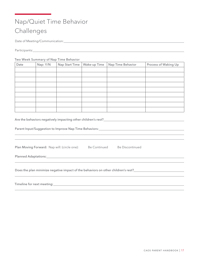### Nap/Quiet Time Behavior Challenges

Date of Meeting/Communication:

Participants:

### Two Week Summary of Nap Time Behavior

| Date | Nap: Y/N | Nap Start Time | Wake-up Time | Nap Time Behavior | Process of Waking Up |
|------|----------|----------------|--------------|-------------------|----------------------|
|      |          |                |              |                   |                      |
|      |          |                |              |                   |                      |
|      |          |                |              |                   |                      |
|      |          |                |              |                   |                      |
|      |          |                |              |                   |                      |
|      |          |                |              |                   |                      |
|      |          |                |              |                   |                      |
|      |          |                |              |                   |                      |
|      |          |                |              |                   |                      |

Are the behaviors negatively impacting other children's rest?<br>
<u>Are the behaviors negatively impacting other children's rest?</u>

Parent Input/Suggestion to Improve Nap Time Behaviors:

Plan Moving Forward: Nap will: (circle one): Be Continued Be Discontinued

Planned Adaptations: <u>Community Community of Adaptations</u>

Does the plan minimize negative impact of the behaviors on other children's rest?<br><u>Does the plan minimize negative impact</u> of the behaviors on other children's rest?

Timeline for next meeting: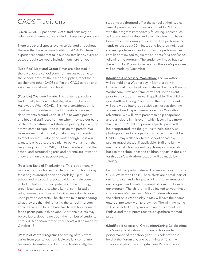### CAOS Traditions

(Given COVID-19 pandemic, CAOS traditions may be celebrated differently or cancelled to keep everyone safe.)

There are several special events celebrated throughout the year that have become traditions at CAOS. These experiences sometimes take our new families by surprise so we thought we would include them here for you.

(Modified) Meet and Greet: Times are allocated in the days before school starts for families to come to the school, drop off their school supplies, meet their teacher and other CAOS staff in the CAOS garden and ask questions about the school.

(Possible) Costume Parade: The costume parade is traditionally held on the last day of school before Halloween. When COVID-19 is not a consideration, it involves shuttle rides and walking visits to various departments around Carle. It is fun to watch patient and hospital staff faces light up when they see our band of cheerful, costume-clad students passing by! Parents are welcome to sign up to join us on the parade. We have learned that it is really challenging for parents to meet up with us along the route though. So if you want to participate, please plan to be with us from the beginning. During COVID, children parade around the school and surrounding area and parents are invited to cheer them on and pass out treats.

(Possible) Taste of Thanksgiving: This is traditionally held on the Tuesday before Thanksgiving. This holiday feast begins around noon and ends by 2 p.m. The school and area businesses provide the main course, including turkey, mashed potatoes, gravy, stuffing, green bean casserole, whole kernel corn, bread or rolls, lemonade and water. Families are asked to sign up to provide desserts. The children take turns sharing what they are thankful for using the school intercom. Families are able to purchase two tickets for a nominal fee to participate in this event. Additional tickets may be available, depending upon the number of students enrolled. A decision for this year's feast will be made by October 15.

(Possible) Winter Program: The timing of this event varies from year to year but it always falls sometime between December and February. Traditionally, the

students are dropped off at the school at their typical time. A parent education session is held at 9:15 a.m., with the program immediately following. Topics such as literacy, media safety and executive function have been presented during this session. The performance tends to last about 30 minutes and features individual classes, grade levels, and school-wide performances. Families are invited to join the students for a brief snack following the program. The student will head back to the school by 11 a.m. A decision for this year's program will be made by December 1.

(Modified if necessary) Walkathon: The walkathon will be held on a Wednesday in May at a park in Urbana, or at the school. Rain date will be the following Wednesday. Staff and families will set up the event prior to the students' arrival if applicable. The children ride shuttles/ Caring Place bus to the park. Students will be divided into groups with each group donning a team colored cape to embark on their Walkathon adventure. We will invite parents to help chaperone and participate in this event, which lasts a little more than an hour. Parent chaperones /participants will be incorporated into the groups to help supervise, photograph, and engage in activities with the children. Children may walk back to the school or catch a pre-arranged shuttle, if applicable. Staff and family members will clean up and help transport materials back to the school once the children depart. A decision for this year's walkathon location will be made by January 1.

Each child that participates will receive a free youth size CAOS Walkathon t-shirt. These shirts are a small part of our fundraiser and a huge part of raising awareness of our program and creating a sense of community within our program. The children will be invited to wear these shirts every Wednesday in May. Children who wear the t-shirt on a Wednesday in May will have their name entered into weekly prize drawings. The winning name will be selected during morning announcements on Fridays and the winners receive a superhero themed prize.

(Modified if necessary) Graduation/Spring Celebration:

The Spring Celebration is our final school-wide performance of the school year. This celebration is held at the Forum at Carle beginning at 10 a.m. with snacks and play time at Crystal Lake Park until about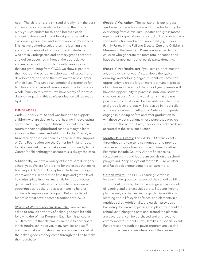noon. The children are dismissed directly from the park and no after care is available following the program. Mark your calendars for this one because each student is showcased in a video vignette, as well as classroom, grade level and school wide performances. This festive gathering celebrates the learning and accomplishments of all of our students. Students who are in kindergarten and primary grades prepare and deliver speeches in front of the appreciative audiences as well. For students with hearing loss that are graduating from CAOS, we show clips from their years at the school to celebrate their growth and development, and send them off on the next chapter of their lives. This can be an emotional experience for families and staff as well. You are welcome to invite your whole family to this event – we have plenty of room! A decision regarding this year's graduation will be made by April 1.

#### **FUNDRAISERS**

Carle Auditory Oral School was founded to support children who are deaf or hard of hearing in developing spoken language through listening so that they can return to their neighborhood schools ready to learn alongside their peers and siblings. No child/ family is turned away based on finances because of the support of Carle Foundation and the Center for Philanthropy. Families are welcome to make donations directly to the Center for Philanthropy to ensure this is always the case.

Additionally, we have a variety of fundraisers during the school year. We are fundraising for the extras that make learning at CAOS fun. Examples include: technology improvements, school-wide field trips and grade level field trips, pizza lunches, materials for indoor recess, games and play materials to create hands-on learning opportunities, books, and assessments to help us continually improve our program. Below is a list of fundraiser that have become traditions at CAOS:

(Possible) Winter Program Bake Sale: Families are asked to provide a variety of baked goods to be sold following the Winter Program. Each item is priced at \$0.50 to ensure that all families are able to participate in this fundraiser. However, many families and staff members make a donation over and above the cost of the baked goods as they come through the line to make their purchase.

(Possible) Walkathon: The walkathon is our largest fundraiser of the school year and provides funding for everything from curriculum updates and gross motor equipment to special events (e.g., U of I led dance class/ yoga instruction) and school wide field (e.g., Rader Family Farms in the Fall and Decatur Zoo and Children's Museum in the Summer). Prizes are awarded to the children who generate the most total donations and have the largest number of participants donating.

(Possible) Art Fundraiser: If you love student-created art, this event is for you! A step above the typical drawings and coloring pages, students will have the opportunity to create larger, more permanent pieces of art. Towards the end of the school year, parents will have the opportunity to purchase individual student creations at cost. Any individual items that are not purchased by families will be available for sale. Class and grade level projects will be placed in the art silent auction at graduation. All Spring Celebration guests engage in bidding before and after graduation to win these sweet creations whose purchases provide support to the school. Cash, checks, or credit cards are accepted at the art silent auction.

Monthly PTO Events: The CAOS PTO plans events throughout the year to raise money and to provide families with opportunities to spend time together. Examples include Country Arbors flower sales, restaurant nights and ice cream socials on the school playground. Keep an eye out for the PTO newsletter and Facebook announcements to learn more.

Garden Pavers: The ECHO Learning Garden is located in the space to the west of the school building. Throughout the year, children are engaged in a variety of learning and play activities there. Students help to plant, weed, and harvest in the garden in addition to learning about life cycles of trees, and elements in a nutritious diet. Additionally, the garden provides a back-drop for learning, picnics and play throughout the school year. Along the path and around the planters are pavers that can be purchased and engraved to commemorate students, staff, families, or special events. Funds raised through the paver program are used to support the care and maintenance of the garden.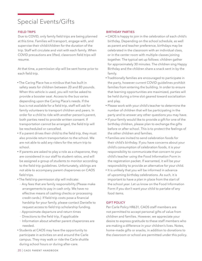### Special Events/Gifts

### FIELD TRIPS

Due to COVID, only family field trips are being planned at this time. Families will transport, engage with, and supervise their child/children for the duration of the trip. Staff will circulate and visit with each family. When COVID precautions are lifted, classroom field trips will resume.

At that time, a permission slip will be sent home prior to each field trip.

- The Caring Place has a minibus that has built in safety seats for children between 20 and 80 pounds. When this vehicle is used, you will not be asked to provide a booster seat. Access to the bus varies depending upon the Caring Place's needs. If the bus is not available for a field trip, staff will ask for family volunteers to transport children and peers. In order for a child to ride with another person's parent, both parties need to provide written consent. If transportation cannot be arranged, the field trip will be rescheduled or cancelled.
- If a parent drives their child to the field trip, they must also provide return transportation to the school. We are not able to add any riders for the return trip to school.
- If parents are asked to play a role as a chaperone, they are considered in our staff to student ratios, and will be assigned a group of students to monitor according to the field trip guidelines. Unfortunately, siblings are not able to accompany parent chaperones on CAOS field trips.
- The field trip permission slip will indicate:
- Any fees that are family responsibility (Please make arrangements to pay in cash only. We have no effective means of cashing checks or processing credit cards.) If field trip costs pose a financial hardship for your family, please contact Danielle to request access to field trip scholarship funding.
- Approximate departure and return times
- Directions to the field trip, if applicable
- Information about whether parent chaperones are needed.
- Students at CAOS may have the opportunity to participate in activities on and around the Carle campus. They may walk or ride the Carle shuttle during school hours or during after-care.

### BIRTHDAY PARTIES

- CAOS is happy to join in the celebration of each child's birthday. Depending on the school schedule, as well as parent and teacher preference, birthdays may be celebrated in the classroom with an individual class, or in the center room with multiple classes joining together. The typical set up follows: children gather for approximately 30 minutes. The children sing Happy Birthday and the children share a snack sent in by the family.
- Traditionally families are encouraged to participate in the party, however current COVID guidelines prohibit families from entering the building. In order to ensure that learning opportunities are maximized, parties will be held during a time slot geared toward socialization and play.
- Please work with your child's teacher to determine the number of children that will be participating in the party and to answer any other questions you may have.
- If your family would like to provide a gift for one of the birthday children, please plan to exchange the gifts before or after school. This is to protect the feelings of the other children and families.
- Families are invited to send celebration foods for their child's birthday. If you have concerns about your child's consumption of celebration foods, it is your responsibility to communicate that concern to your child's teacher using the Food Information Form in the registration packet. If warranted, it will be your responsibility to provide an alternative for your child.
- It is unlikely that you will be informed in advance of upcoming birthday celebrations. As such, it is important to have a plan in place from the start of the school year. Let us know on the Food Information Form if you don't want your child to partake of any food items.

### **GIFT POLICY**

Per Carle Policy HR631, CAOS staff members are not permitted to accept personal gifts of value from children and families. However, we appreciate your desire to express gratitude to these staff members who are making a difference in your children's lives. Notes, home-made gifts or snacks, in addition to donations to the classroom or school are permitted under this policy.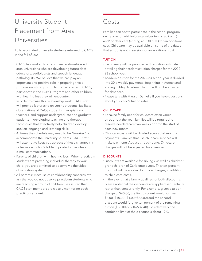## University Student Placement from Area Universities

Fully vaccinated university students returned to CAOS in the fall of 2021.

- CAOS has worked to strengthen relationships with area universities who are developing future deaf educators, audiologists and speech language pathologists. We believe that we can play an important and positive role in preparing these professionals to support children who attend CAOS, participate in the ECHO Program and other children with hearing loss they will encounter.
- In order to make this relationship work, CAOS staff will provide lectures to university students, facilitate observations of CAOS students, therapists and teachers, and support undergraduate and graduate students in developing teaching and therapy techniques that effectively help children develop spoken language and listening skills.
- At times the schedule may need to be "tweaked" to accommodate the university students. CAOS staff will attempt to keep you abreast of these changes via notes in each child's folder, updated schedules and e-mail communications.
- Parents of children with hearing loss: When practicum students are providing individual therapy to your child, you are permitted to observe via the video observation system.
- All parents: Because of confidentiality concerns, we ask that you do not observe practicum students who are teaching a group of children. Be assured that CAOS staff members are closely monitoring each practicum student.

### Costs

Families can opt to participate in the school program on its own, or add before care (beginning at 7 a.m.) and/ or after care (ending at 5:30 p.m.) for an additional cost. Childcare may be available on some of the dates that school is not in session for an additional cost.

### TUITION

- Each family will be provided with a tuition estimate detailing their academic tuition charges for the 2022- 23 school year.
- Academic tuition for the 2022-23 school year is divided into 20 biweekly payments, beginning in August and ending in May. Academic tuition will not be adjusted for absences.
- Please talk with Myra or Danielle if you have questions about your child's tuition rates.

### **CHILDCARE**

- Because family need for childcare often varies throughout the year, families will be required to reserve needed care two weeks prior to the start of each new month.
- Childcare costs will be divided across that month's payments. Families that use childcare services will make payments August through June. Childcare charges will not be adjusted for absences.

### **DISCOUNTS**

- Discounts are available for siblings, as well as children/ grandchildren of Carle employees. This ten-percent discount will be applied to tuition charges, in addition to child care costs.
- In the event that a family qualifies for both discounts, please note that the discounts are applied sequentially, rather than concurrently. For example, given a tuition charge of \$40.00, the first discount would forgive \$4.00 (\$40.00- \$4.00=\$36.00) and the second discount would forgive ten percent of the remaining tuition (\$36.00-\$3.60=\$32.40). So effectively, the combined limit of the discount is about 19%.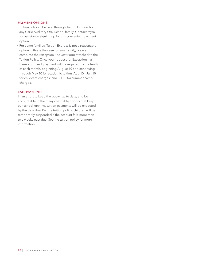#### PAYMENT OPTIONS

- Tuition bills can be paid through Tuition Express for any Carle Auditory Oral School family. Contact Myra for assistance signing up for this convenient payment option.
- For some families, Tuition Express is not a reasonable option. If this is the case for your family, please complete the Exception Request Form attached to the Tuition Policy. Once your request for Exception has been approved, payment will be required by the tenth of each month, beginning August 10 and continuing through May 10 for academic tuition; Aug 10 - Jun 10 for childcare charges; and Jul 10 for summer camp charges.

#### LATE PAYMENTS

In an effort to keep the books up to date, and be accountable to the many charitable donors that keep our school running, tuition payments will be expected by the date due. Per the tuition policy, children will be temporarily suspended if the account falls more than two weeks past due. See the tuition policy for more information.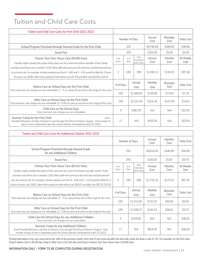### Tuition and Child Care Costs

| Tuition and Child Care Costs for First Child 2022-2023                                                                                                                                                                                                                                                                                     |               |                                                 |                |                                 |                 |                         |                          |
|--------------------------------------------------------------------------------------------------------------------------------------------------------------------------------------------------------------------------------------------------------------------------------------------------------------------------------------------|---------------|-------------------------------------------------|----------------|---------------------------------|-----------------|-------------------------|--------------------------|
|                                                                                                                                                                                                                                                                                                                                            |               | Number of Days                                  |                |                                 | Annual<br>Cost  | <b>Biweekly</b><br>Cost | Daily Cost               |
| School Program Preschool through Second Grade for the First Child                                                                                                                                                                                                                                                                          |               |                                                 | 200            |                                 | \$9,796.08      | \$489.80                | \$48.98                  |
| <b>Snack Fee</b>                                                                                                                                                                                                                                                                                                                           |               |                                                 | 200            |                                 | \$100.00        | \$5.00                  | \$0.50                   |
| Choose Your Own Hours Care (\$4.90/ hour)<br>Families might consider this option if they need care for a short time before and after school. Family                                                                                                                                                                                        | # of<br>hours | Total<br># of<br>Extended<br>days<br>Care Hours |                |                                 |                 | Monthly<br>Cost         | <b>Bi-Weekly</b><br>Cost |
| provides exact times care is needed, CAOS office staff will round up to the next hour and bill reserved care<br>at an hourly rate. For example, a family needing care from 8 - 8:40 and 3 - 4:15 would be billed for 2 hours<br>of hourly care, \$9.80, rather than paying for both before care (\$7.29) and after care (\$10.81), \$18.10 | 2             |                                                 | 199            | 398                             | \$1,949.11      | \$194.91                | \$97.46                  |
| Before Care on School Days for the First Child                                                                                                                                                                                                                                                                                             | # of Days     |                                                 |                | Annual<br>Cost                  | Monthly<br>Cost | <b>Biweekly</b><br>Cost | Daily Cost               |
| Once reserved, care charges are non-refundable. (7 - 9 a.m. drop off any time in this range for this cost.)                                                                                                                                                                                                                                |               | 200                                             |                | \$1,458.60                      | \$145.86        | \$72.93                 | \$7.29                   |
| After Care on School Days for the First Child<br>199<br>\$2,151.59<br>Once reserved, care charges are non-refundable. (3 - 5:30 p.m. pick up any time in this range for this cost.)                                                                                                                                                        |               |                                                 |                |                                 | \$215.16        | \$107.58                | \$10.81                  |
| Child Care on No School Days<br>Once reserved, care charges are non-refundable.                                                                                                                                                                                                                                                            | 9             | \$481.95                                        |                | N/A                             | N/A             | \$53.55                 |                          |
| Summer Camp for the First Child<br>(Care<br>Provided Between Last Day of School in June through First Day of School in August - total number of<br>days of care is dependent upon the school calendar, developed by April 15, 2022)                                                                                                        | 17            |                                                 |                | N/A                             | \$910.35        | N/A                     | \$53.55                  |
| Tuition and Child Care Costs for Additional Children 2022-2023                                                                                                                                                                                                                                                                             |               |                                                 |                |                                 |                 |                         |                          |
|                                                                                                                                                                                                                                                                                                                                            |               | Number of Days                                  |                |                                 | Annual<br>Cost  | Monthly<br>Cost         | Daily Cost               |
| School Program Preschool through Second Grade<br>for any Additional Children                                                                                                                                                                                                                                                               |               |                                                 | 200            |                                 | \$8,816.00      | \$440.80                | \$44.08                  |
| <b>Snack Fee</b>                                                                                                                                                                                                                                                                                                                           |               | 200                                             |                |                                 | \$100.00        | \$5.00                  | \$0.50                   |
| Choose Your Own Hours Care (\$4.41/ hour)<br>Families might consider this option if they need care for a short time before and after school. Family                                                                                                                                                                                        | # of<br>hours |                                                 | # of<br>days   | Total<br>Extended<br>Care Hours | Annual<br>Cost  | Monthly<br>Cost         | <b>Bi-Weekly</b><br>Cost |
| provides exact times care is needed, CAOS office staff will round up to the next hour and bill reserved<br>care at an hourly rate. For example, a family needing care from 8 - 8:40 and 3 - 4:15 would be billed for 2<br>hours of hourly care, \$8.82, rather than paying for both before care (\$6.57) and after care (\$9.73), \$16.30  | 2             | 199                                             |                | 398                             | \$1,755.18      | \$175.52                | \$87.76                  |
| Before Care on School Days for the First Child                                                                                                                                                                                                                                                                                             | # of Days     |                                                 | Annual<br>Cost |                                 | Monthly<br>Cost | Biweekly<br>Cost        | Daily Cost               |
| Once reserved, care charges are non-refundable. (7 - 9 a.m. drop off any time in this range for this cost.)                                                                                                                                                                                                                                | 200           |                                                 |                | \$1,312.00                      | \$131.20        | \$65.60                 | \$6.56                   |
| After Care on School Days for the First Child<br>Once reserved, care charges are non-refundable. (3 - 5:30 p.m. pick up any time in this range for this cost.)                                                                                                                                                                             | 199           |                                                 |                | \$1,936.27                      | \$193.63        | \$96.81                 | \$9.73                   |

(Care Provided Between Last Day of School in June through First Day of School in August - total number of days of care is dependent upon the school calendar, developed by April 15, 2022) 17 | N/A | \$819.40 | N/A | \$48.20

are No School Days for any Additional Children<br>Once reserved, care charges are non-refundable.

Pricing listed above is for care reserved by the 15th of the previous month. Each unit of care reserved after this time falls under the drop in rate of +\$1. For example, for the first child, Drop In Before Care is \$8.29/ day, Drop In After Care is \$11.81/ day and Drop In Choose Your Own Hours Care is \$5.90/ hour.

#### **INFORMATION ONLY – FORM TO BE COMPLETED DURING REGISTRATION**

**Child Care No School Days for any Additional Children** 

**Summer Camp for any Additional Children**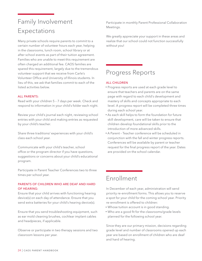### Family Involvement Expectations

Many private schools require parents to commit to a certain number of volunteer hours each year, helping in the classrooms, lunch room, school library or at after school events as part of their tuition agreement. Families who are unable to meet this requirement are often charged an additional fee. CAOS families are spared this requirement, largely due to the tremendous volunteer support that we receive from Carle's Volunteer Office and University of Illinois students. In lieu of this, we ask that families commit to each of the listed activities below.

### ALL PARENTS:

Read with your children 5 – 7 days per week. Check and respond to information in your child's folder each night.

Review your child's journal each night, reviewing school entries with your child and making entries as requested by your child's teacher.

Share three traditions/ experiences with your child's class each school year.

Communicate with your child's teacher, school office or the program director if you have questions, suggestions or concerns about your child's educational program.

Participate in Parent Teacher Conferences two to three times per school year.

### PARENTS OF CHILDREN WHO ARE DEAF AND HARD OF HEARING:

Ensure that your child arrives with functioning hearing device(s) on each day of attendance. Ensure that you send extra batteries for your child's hearing device(s).

Ensure that you send troubleshooting equipment, such as ear mold cleaning brushes, cochlear implant cables and headpieces, if applicable.

Observe or participate in two therapy sessions and two classroom lessons per year.

Participate in monthly Parent Professional Collaboration Meetings.

We greatly appreciate your support in these areas and realize that our school could not function successfully without you!

### Progress Reports

### ALL CHILDREN

- Progress reports are used at each grade level to ensure that teachers and parents are on the same page with regard to each child's development and mastery of skills and concepts appropriate to each level. A progress report will be completed three times during each school year.
- As each skill helps to form the foundation for future skill development, care will be taken to ensure that children develop foundational skills prior to the introduction of more advanced skills.
- A Parent Teacher conference will be scheduled in conjunction with the fall and winter progress reports. Conferences will be available by parent or teacher request for the final progress report of the year. Dates are provided on the school calendar.

### Enrollment

In December of each year, administration will send priority re-enrollment forms. This allows you to reserve a spot for your child for the coming school year. Priority re-enrollment is offered to children:

- Whose tuition account is in good standing.
- Who are a good fit for the classrooms/grade levels planned for the following school year.

Since they are our primary mission, decisions regarding grade level and number of classrooms opened up each year are based on enrollment of children who are deaf and hard of hearing.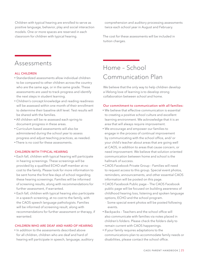Children with typical hearing are enrolled to serve as positive language, behavior, play and social interaction models. One or more spaces are reserved in each classroom for children with typical hearing.

comprehension and auditory processing assessments twice each school year in August and February.

The cost for these assessments will be included in tuition charges.

### Assessments

### **ALL CHILDREN**

- Standardized assessments allow individual children to be compared to other children across the country who are the same age, or in the same grade. These assessments are used to track progress and identify the next steps in student learning.
- Children's concept knowledge and reading readiness will be assessed within one month of their enrollment to determine their baseline skill level. Test results will be shared with the families.
- All children will be re-assessed each spring to document progress in these areas.
- Curriculum based assessments will also be administered during the school year to assess progress and adjust teaching practices, as needed.
- There is no cost for these assessments.

### CHILDREN WITH TYPICAL HEARING

- Each fall, children with typical hearing will participate in hearing screenings. These screenings will be provided by a qualified ECHO staff member at no cost to the family. Please look for more information to be sent home the first few days of school regarding these hearing screenings. Families will be informed of screening results, along with recommendations for further assessment, if warranted.
- Each fall, children with typical hearing also participate in a speech screening, at no cost to the family, with the CAOS speech language pathologists. Families will be informed of screening result, along with recommendations for further assessment or therapy, if warranted.

#### CHILDREN WHO ARE DEAF AND HARD OF HEARING

• In addition to the assessments described above for all children, children who are deaf and hard of hearing will participate in speech, language, auditory

### Home – School Communication Plan

We believe that the only way to help children develop a lifelong love of learning is to develop strong collaboration between school and home.

### Our commitment to communication with all families:

- We believe that effective communication is essential to creating a positive school culture and excellent learning environment. We acknowledge that it is an area that will always require improvement.
- We encourage and empower our families to engage in the process of continual improvement by communicating with the school office, and/ or your child's teacher about areas that are going well at CAOS, in addition to areas that cause concern, or need improvement. We believe that solution oriented communication between home and school is the hallmark of success.
- CAOS Facebook Private Group Families will need to request access to this group. Special event photos, reminders, announcements, and other essential CAOS information will be posted on this page.
- CAOS Facebook Public page The CAOS Facebook public page will be focused on building awareness of childhood hearing loss, listening and spoken language options, ECHO and the school program.
	- Some special event photos will be posted following events.
- Backpacks Teachers and the school office will also communicate with families via notes placed in children's folders. Please check the folders daily to remain current with CAOS happenings.
- If your family requires adaptations to the communications plan to accommodate family needs or disabilities, please contact the school office.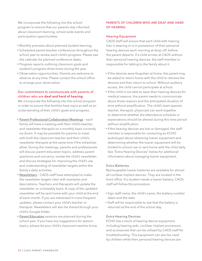We incorporate the following into the school program to ensure that our parents stay informed about classroom learning, school wide events and participation opportunities:

- Monthly previews about planned student learning.
- Scheduled parent-teacher conferences throughout the school year to review each child's progress. Please see the calendar for planned conference dates.
- Progress reports outlining classroom goals and student's progress three times during the year.
- Observation opportunities. Parents are welcome to observe at any time. Please contact the school office to arrange your observation.

### Our commitment to communicate with parents of children who are deaf and hard of hearing:

We incorporate the following into the school program in order to ensure that families have input as well as an understanding of their child's goals and progress.

- Parent-Professional Collaboration Meetings each family will have a meeting with their child's teacher, and newsletter therapist on a monthly basis currently via Zoom. It may be possible for parents to meet with both the classroom teacher and their child's newsletter therapist at the same time if the schedules allow. During the meetings, parents and professionals will discuss parent education topics, address parent questions and concerns, review the child's newsletter, and discuss strategies for improving the child's use and understanding of newsletter targets within the family's daily activities.
- Newsletters CAOS staff have attempted to make the newsletter targets clear with examples and descriptions. Teachers and therapists will update the newsletter on a biweekly basis. A copy of the updated newsletter will be sent home with your child at the end of each month. If you are interested in more frequent updates, please contact your child's teacher or therapist. Newsletters will also be shared through your child's Google folder.
- Parent Education sessions are planned during the school year. If you have any suggestions for session topics, please let your child's classroom teacher know.

### PARENTS OF CHILDREN WHO ARE DEAF AND HARD OF HEARING

#### Hearing Equipment

CAOS Staff will ensure that each child with hearing loss is wearing or is in possession of their personal hearing devices each morning at drop-off, before the parent departs. If a child arrives at CAOS without their personal hearing devices, the staff member is responsible for talking to the family about it.

- If the devices were forgotten at home, the parent may be asked to return home with the child to retrieve the devices and then return to school. Without auditory access, the child cannot participate at school.
- If the child is not able to wear their hearing devices for medical reasons, the parent needs to communicate about those reasons and the anticipated duration of time without amplification. The child's team (parent, teacher, therapist, physician) can work together to determine whether the attendance schedule or expectations should be altered during this time period without amplification.
- If the hearing devices are lost or damaged, the staff member is responsible for contacting an ECHO audiologist about obtaining loaner equipment and determining whether the loaner equipment will be limited to school use or sent home with the child daily. See "Extra Hearing Devices" below for additional information about managing loaner equipment.

#### Extra Batteries

Rechargeable loaner batteries are available for almost all cochlear implant devices. They are located in the front office. If a student needs a loaner battery, CAOS staff will follow this procedure:

- Sign staff name, the child's name, the battery number taken and the date.
- Staff will be responsible to see that the battery is returned at the end of the school day.

#### Extra Hearing Devices:

ECHO has a stock of hearing device equipment, including hearing aids, cochlear implant processors and accessories that can be utilized by CAOS staff for troubleshooting. This equipment can also be used by children while their personal hearing devices are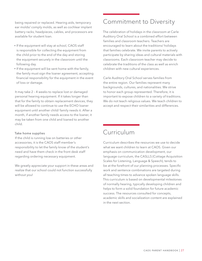being repaired or replaced. Hearing aids, temporary ear molds/ comply molds, as well as cochlear implant battery racks, headpieces, cables, and processors are available for student loan.

- If the equipment will stay at school, CAOS staff is responsible for collecting the equipment from the child prior to the end of the day and storing the equipment securely in the classroom until the following day.
- If the equipment will be sent home with the family, the family must sign the loaner agreement, accepting financial responsibility for the equipment in the event of loss or damage.

It may take 2 – 4 weeks to replace lost or damaged personal hearing equipment. If it takes longer than that for the family to obtain replacement devices, they will be allowed to continue to use the ECHO loaner equipment until another child/ family needs it. After a month, if another family needs access to the loaner, it may be taken from one child and loaned to another child.

### Take home supplies

If the child is running low on batteries or other accessories, it is the CAOS staff member's responsibility to let the family know of the student's need and have them check in the front desk staff regarding ordering necessary equipment.

We greatly appreciate your support in these areas and realize that our school could not function successfully without you!

### Commitment to Diversity

The celebration of holidays in the classroom at Carle Auditory Oral School is a combined effort between families and classroom teachers. Teachers are encouraged to learn about the traditions/ holidays that families celebrate. We invite parents to actively participate by sharing ideas and cultural materials with classrooms. Each classroom teacher may decide to celebrate the traditions of the class as well as enrich children with new cultural experiences.

Carle Auditory Oral School serves families from the entire region. Our families represent many backgrounds, cultures, and nationalities. We strive to honor each group represented. Therefore, it is important to expose children to a variety of traditions. We do not teach religious values. We teach children to accept and respect their similarities and differences.

### Curriculum

Curriculum describes the resources we use to decide what we want children to learn at CAOS. Given our emphasis on communication development, our language curriculum, the CASLLS (Cottage Acquisition Scales for Listening, Language & Speech), tends to be at the forefront of our planning processes. Specific work and sentence combinations are targeted during all teaching times to advance spoken language skills. This curriculum is based on developmental milestones of normally hearing, typically developing children and helps to form a solid foundation for future academic success. The resources consulted for concepts, academic skills and socialization content are explained in the next section.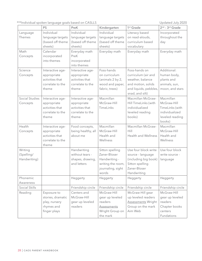\*\*\*Individual spoken language goals based on CASLLS Updated July 2020

|                                       | <b>PS</b>                                                                       | PreK                                                                            | Kindergarten                                                                                        | 1 <sup>st</sup> Grade                                                                                                      | 2 <sup>nd</sup> - 3 <sup>rd</sup> Grade                                                    |
|---------------------------------------|---------------------------------------------------------------------------------|---------------------------------------------------------------------------------|-----------------------------------------------------------------------------------------------------|----------------------------------------------------------------------------------------------------------------------------|--------------------------------------------------------------------------------------------|
| Language<br>Themes                    | Individual<br>language targets<br>(based off theme<br>sheets)                   | Individual<br>language targets<br>(based off theme<br>sheets)                   | Individual<br>language targets<br>(based off theme<br>sheets)                                       | Literacy based<br>on read-alouds,<br>curriculum based<br>vocabulary                                                        | Incorporated<br>throughout the<br>day                                                      |
| Math<br>Concepts                      | Calendar<br>incorporated<br>into themes                                         | Everyday math<br>PreK<br>incorporated<br>into themes                            | Everyday math                                                                                       | Everyday math                                                                                                              | Everyday math                                                                              |
| Science<br>Concepts                   | Interactive age-<br>appropriate<br>activities that<br>correlate to the<br>theme | Interactive age-<br>appropriate<br>activities that<br>correlate to the<br>theme | Foss-hands<br>on curriculum<br>(animals 2 by 2,<br>wood and paper,<br>fabric, trees)                | Foss-hands on<br>curriculum (air and<br>weather, balance<br>and motion, solids<br>and liquids, pebbles,<br>snad, and silt) | Additional:<br>human body,<br>plants and<br>animals, sun,<br>moon, and stars               |
| Social Studies<br>Concepts            | Interactive age-<br>appropriate<br>activities that<br>correlate to the<br>theme | Interactive age-<br>appropriate<br>activities that<br>correlate to the<br>theme | Macmillan<br>McGraw-Hill<br>TimeLinks                                                               | Macmillan McGraw-<br>Hill TimeLinks (with<br>individualized<br>leveled reading<br>books)                                   | Macmillan<br>McGraw-Hill<br>TimeLinks (with<br>individualized<br>leveled reading<br>books) |
| Health<br>Concepts                    | Interactive age-<br>appropriate<br>activities that<br>correlate to the<br>theme | Food concepts,<br>being healthy, all<br>about me                                | Macmillan<br>McGraw-Hill<br>Health and<br>Wellness                                                  | Macmillan McGraw-<br>Hill<br>Health and Wellness                                                                           | Macmillan<br>McGraw-Hill<br>Health and<br>Wellness                                         |
| Writing<br>(Spelling/<br>Handwriting) |                                                                                 | Handwriting<br>without tears -<br>shapes, drawing,<br>and letters               | Sitton spelling<br>Zaner-Bloser<br>Handwriting -<br>writing the room,<br>journaling, sight<br>words | Use four block write<br>source - language<br>(including big book)<br>Sitton spelling<br>Zaner-Bloser<br>Handwriting        | Use four block<br>write source -<br>language                                               |
| Phonemic<br>Awareness                 |                                                                                 | Heggerty                                                                        | Heggerty                                                                                            | Heggerty                                                                                                                   | Heggerty                                                                                   |
| Social Skills                         |                                                                                 | Friendship circle                                                               | Friendship circle                                                                                   | Friendship circle                                                                                                          | Friendship circle                                                                          |
| Reading                               | Exposure to<br>stories, dramatic<br>play, nursery<br>rhymes and<br>finger plays | Centers and<br>McGraw-Hill<br>gear up leveled<br>readers                        | McGraw-Hill<br>gear up leveled<br>readers<br><b>Assessments</b><br>Wright Group on<br>the mark      | McGraw-Hill gear<br>up leveled readers<br><b>Assessments Wright</b><br>Group on the mark<br>Aim Web                        | McGraw-Hill<br>gear up leveled<br>readers<br>Chapter books<br>centers<br>Fundations        |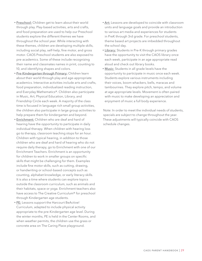- Preschool: Children get to learn about their world through play. Play-based activities, arts and crafts, and food preparation are used to help our Preschool students explore the different themes we have throughout the school year. While interacting with these themes, children are developing multiple skills, including social play, self-help, fine motor, and gross motor. CAOS Preschool students are also exposed to pre-academics. Some of these include recognizing their name and classmates names in print, counting to 10, and identifying shapes and colors.
- Pre-Kindergarten through Primary: Children learn about their world through play and age-appropriate academics. Interactive activities include arts and crafts, food preparation, individualized reading instruction, and Everyday Mathematics®. Children also participate in Music, Art, Physical Education, Library, and Friendship Circle each week. A majority of the class time is focused in language rich small group activities, the children also participate in large group activities to help prepare them for kindergarten and beyond.
- Enrichment: Children who are deaf and hard of hearing have the opportunity to participate in daily individual therapy. When children with hearing loss go to therapy, classroom teaching stops for an hour. Children with typical hearing, in addition to those children who are deaf and hard of hearing who do not require daily therapy, go to Enrichment with one of our Enrichment Teachers. Enrichment is an opportunity for children to work in smaller groups on specific skills that might be challenging for them. Examples include fine motor skills, such as cutting, drawing, or handwriting or school-based concepts such as counting, alphabet knowledge, or early literacy skills. It is also a time where students can explore topics outside the classroom curriculum, such as animals and their habitats, space or yoga. Enrichment teachers also have access to The Creative Curriculum® for preschool through Kindergarten age students.
- PE: Lessons support the Harcourt BeActive! Curriculum, adapted to include physical activity appropriate to the pre-Kindergarten age level. During the winter months, PE is held in the Center Rooms, and when weather permits, the children use the grass or concrete area on The Caring Place playground.
- Art: Lessons are developed to coincide with classroom units and language goals and provide an introduction to various art media and experiences for students in PreK through 3rd grade. For preschool students, theme based art projects are imbedded throughout the school day.
- Library: Students in Pre-K through primary grades have the opportunity to visit the CAOS library once each week, participate in an age appropriate read aloud and check out library books.
- Music: Students in all grade levels have the opportunity to participate in music once each week. Students explore various instruments including their voices, boom whackers, bells, maracas and tambourines. They explore pitch, tempo, and volume at age appropriate levels. Movement is often paired with music to make developing an appreciation and enjoyment of music a full body experience.

Note: In order to meet the individual needs of students, specials are subject to change throughout the year. These adjustments will typically coincide with CAOS schedule changes.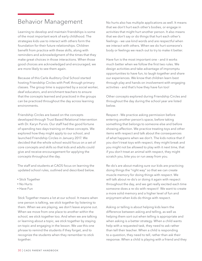### Behavior Management

Learning to develop and maintain friendships is some of the most important work of early childhood. The strategies kids use to interact with others form the foundation for their future relationships. Children benefit from practice with these skills, along with reminders and acknowledgment of the times that they make great choices in those interactions. When those good choices are acknowledged and encouraged, we are more likely to see them again.

Because of this Carle Auditory Oral School started hosting Friendship Circles with PreK through primary classes. The group time is supported by a social worker, deaf educators, and enrichment teachers to ensure that the concepts learned and practiced in the groups can be practiced throughout the day across learning environments.

Friendship Circles are based on the concepts developed through Trust Based Relational Intervention with Dr. Karyn Purvis. Our staff had the good fortune of spending two days training on these concepts. We explored how they might apply to our school, and launched Friendship Circles in January 2017. We decided that the whole school would focus on a set of core concepts and skills so that kids and adults could give and receive encouragement for applying the concepts throughout the day.

The staff and students at CAOS focus on learning the updated school rules, outlined and described below.

- Stick Together
- No Hurts
- Have Fun

Stick Together means a lot at our school. It means when one person is talking, we stick together by listening to them. When we are playing, we don't leave anyone out. When we move from one place to another within the school, we stick together too. And when we are talking or learning about a topic, we stick together by staying on topic and engaging in the lesson. We use this one phrase to remind the students if they forget, and to recognize the students when they remember to stick together.

No hurts also has multiple applications as well. It means that we don't hurt each other's bodies, or engage in activities that might hurt another person. It also means that we don't say or do things that hurt each other's feelings – we use kind words and are respectful when we interact with others. When we do hurt someone's body or feelings we reach out to try to make it better.

Have fun is the most important one – and it works much better when we follow the first two rules. We design activities and take advantage of impromptu opportunities to have fun, to laugh together and share our experiences. We know that children learn best through play and hands on involvement with engaging activities – and that's how they have fun too!

Other concepts explored during Friendship Circles and throughout the day during the school year are listed below.

Respect - We practice asking permission before entering another person's space, before taking something that belongs to someone else and before showing affection. We practice treating toys and other items with respect and talk about the consequences of what happens when we don't. The kids notice that if you don't treat toys with respect, they might break and you might not be allowed to play with it next time, that if you don't treat an animal with respect, they might scratch you, bite you or run away from you.

Re-do's are about making sure our kids are practicing doing things the "right way" so that we can create muscle memory for doing things with respect. We will talk about re-do's or doing it again with respect throughout the day, and we get really excited each time someone does a re-do with respect! We want to create a more solid memory and a higher level of fun and enjoyment when kids do things with respect.

Asking or telling is about helping kids learn the difference between asking and telling, as well as helping them sort out when telling is appropriate and when asking is a better strategy. When a child wants help with a requested task, they need to ask rather than tell their teacher. When a child is responding to a question, they need to tell, rather than ask their response. When a child is playing with a friend and they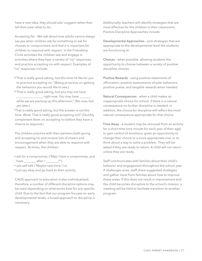have a new idea, they should ask/ suggest rather than tell their peer what to do.

Accepting No - We talk about how adults cannot always say yes when children ask for something or ask for choices or compromises, and that it is important for children to respond with respect. In the Friendship Circle activities the children see and engage in activities where they hear a variety of "no" responses, and practice accepting no with respect. Examples of "no" responses include:

- •"That is really good asking, but this time I'd like for you to practice accepting no." (Being proactive on getting the behaviors you would like to see.)
- •"That is really good asking, but you may not have right now. You may have while we are packing up this afternoon." (No now, but yes later.)
- "That is really good asking, but the answer is not this time. Wow! That is really good accepting no!!" (Quickly compliment them on accepting no before they have a chance to respond.)

The children practice with their partners both giving and accepting no and receive lots of cheers and encouragement when they are able to respond with respect. At times, the children

- ask for a compromise, ("May I have a compromise, and have  $\frac{1}{\sqrt{2}}$  after  $\frac{1}{\sqrt{2}}$  after  $\frac{1}{\sqrt{2}}$  ?")
- use self-talk ("Maybe next time.") or
- just say okay and go back to their activity.

CAOS approach to education is also individualized; therefore, a number of different discipline options may be used depending on what works best for any specific child. Due to the fact that our program focuses on early developmental levels, a broad approach to discipline is necessary.

Additionally, teachers will identify strategies that are most effective for the children in their classrooms. Positive Discipline Approaches include:

Developmental Approaches - pick strategies that are appropriate to the developmental level the students are functioning at.

Choices - when possible, allowing students the opportunity to choose between a variety of positive discipline choices

Positive Rewards - using positive statements of affirmation, positive assessments of peer behaviors, positive praise, and tangible rewards when needed

Natural Consequences - when a child makes an inappropriate choice for school, if there is a natural consequence no further discipline is needed; in addition, the choice for discipline will reflect the most natural consequence appropriate for that choice.

Time Away - a student may be removed from an activity for a short time (one minute for each year of their age) to gain control of emotions, given an opportunity to change their choice to a more appropriate one, or to think about a way to solve a problem. They will be asked if they are ready to return. A child will not return unless they are ready.

Staff communicates with families about their child's behavior and engagement throughout the school year. If challenges arise, staff share suggested strategies and gather input from families about how to improve these areas. If this does not result in improvement and the child becomes disruptive to the school's mission, a meeting will be held to facilitate transition to another program.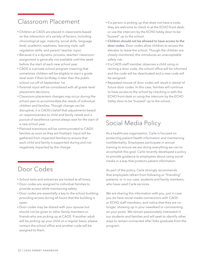### Classroom Placement

- Children at CAOS are placed in classrooms based on the interaction of a variety of factors, including chronological age, maturity, social skills, language level, academic readiness, learning style, selfregulation skills, and parent/ teacher input.
- Because it is a dynamic process, teacher/ classroom assignment is generally not available until the week before the start of each new school year.
- CAOS is a private school program meaning that sometimes children will be eligible to start a grade level even if their birthday is later than the public school cut-off of September 1st.
- Parental input will be considered with all grade-level placement decisions.
- Classroom placement changes may occur during the school year to accommodate the needs of individual children and families. Though change can be disruptive, it is CAOS's belief that adjustments based on responsiveness to child and family needs and a pursuit of excellence cannot always wait for the start of a new school year.
- Planned transitions will be communicated to CAOS families as soon as they are finalized. Input will be gathered from impacted families to ensure that each child and family is supported during and not negatively impacted by the change.

### Door Codes

- School exits and entrances are locked at all times.
- Door codes are assigned to individual families to provide access while maintaining safety.
- Door codes are essentially a key to the school building, providing access during all hours that the building is open.
- Door codes may be shared with your spouse but should not be given to other family members or friends who are picking up at CAOS. If another adult will be picking up your child on a regular basis, please contact the school office and another code will be assigned to them.
- If a person is picking up that does not have a code, they are welcome to check in at the ECHO front desk, or use the intercom by the ECHO lobby door to be "buzzed" up to the school.
- Children should not be allowed to have access to the door codes. Door codes allow children to access the elevator to leave the school. Though the children are closely monitored, this introduces an unacceptable safety risk.
- If a CAOS staff member observes a child using or reciting a door code, the school office will be informed and the code will be deactivated and a new code will be assigned.
- Repeated misuse of door codes will result in denial of future door codes. In this case, families will continue to have access to the school by checking in with the ECHO front desk or using the intercom by the ECHO lobby door to be "buzzed" up to the school.

### Social Media Policy

As a healthcare organization, Carle is focused on protecting patient health information and maintaining confidentiality. Employees participate in annual training to ensure we are doing everything we can to accomplish this goal. Carle recently developed a policy to provide guidance to employees about using social media in a way that protects patient information.

As part of the policy, Carle strongly recommends that employees refrain from following or "friending" patients, or in our case, students and family members, who have used Carle services.

We are sharing this information with you, just in case you do have social media connections with CAOS or ECHO staff members, and notice that they are no longer showing up in your newsfeed or commenting on your posts. We remain passionately interested in our students and families and will seek to identify other ways to remain connected after folks graduate from the program.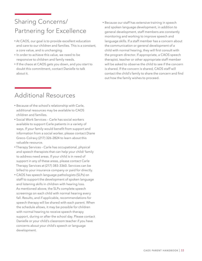### Sharing Concerns/ Partnering for Excellence

- At CAOS, our goal is to provide excellent education and care to our children and families. This is a constant, a core value, and is unchanging.
- In order to achieve this value, we need to be responsive to children and family needs.
- If the chaos at CAOS gets you down, and you start to doubt this commitment, contact Danielle to talk about it.
- Because our staff has extensive training in speech and spoken language development, in addition to general development, staff members are constantly monitoring and working to improve speech and language skills. If a staff member has a concern about the communication or general development of a child with normal hearing, they will first consult with the program director. If appropriate, a CAOS speech therapist, teacher or other appropriate staff member will be asked to observe the child to see if the concern is shared. If the concern is shared, CAOS staff will contact the child's family to share the concern and find out how the family wishes to proceed.

### Additional Resources

- Because of the school's relationship with Carle, additional resources may be available to CAOS children and families.
- Social Work Services Carle has social workers available to support Carle patients in a variety of ways. If your family would benefit from support and information from a social worker, please contact Diane Greco-Colravy (217) 326-2824 to learn about this valuable resource.
- Therapy Services Carle has occupational, physical and speech therapists that can help your child/ family to address need areas. If your child is in need of support in any of these areas, please contact Carle Therapy Services at (217) 383-3360. Services can be billed to your insurance company or paid for directly.
- CAOS has speech language pathologists (SLPs) on staff to support the development of spoken language and listening skills in children with hearing loss. As mentioned above, the SLPs complete speech screenings on each child with normal hearing every fall. Results, and if applicable, recommendations for speech therapy will be shared with each parent. When the schedule allows, it may be possible for children with normal hearing to receive speech therapy support, during or after the school day. Please contact Danielle or your child's classroom teacher if you have concerns about your child's speech or language development.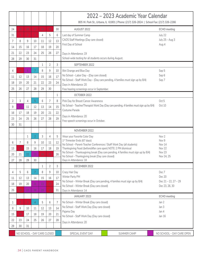|    |    |    |                |    |                             |    | 2022 – 2023 Academic Year Calendar                                                                                                         |                            |  |  |
|----|----|----|----------------|----|-----------------------------|----|--------------------------------------------------------------------------------------------------------------------------------------------|----------------------------|--|--|
|    |    |    |                |    |                             |    | 805 W. Park St., Urbana, IL 61801   Phone: (217) 326-2824   School Fax: (217) 326-2266                                                     |                            |  |  |
| 24 | 25 | 26 | 27             | 28 | 29                          | 30 | AUGUST 2022                                                                                                                                | <b>ECHO</b> meeting        |  |  |
| 31 |    |    | 3              | 4  | 5                           | 6  | Last day of Summer Camp<br>CAOS Staff Meetings (Day care closed)                                                                           | July 22<br>July 25 - Aug 3 |  |  |
| 7  | 8  | 9  | 10             | 11 | 12                          | 13 | First Day of School                                                                                                                        | Aug 4                      |  |  |
| 14 | 15 | 16 | 17             | 18 | 19                          | 20 |                                                                                                                                            |                            |  |  |
| 21 | 22 | 23 | 24             | 25 | 26                          | 27 | Days in Attendance: 19                                                                                                                     |                            |  |  |
| 28 | 29 | 30 | 31             |    |                             |    | School-wide testing for all students occurs during August.                                                                                 |                            |  |  |
|    |    |    |                | 1  | $\overline{2}$              | 3  | SEPTEMBER 2022                                                                                                                             |                            |  |  |
| 4  | 5  | 6  | 7              | 8  | 9                           | 10 | Illini Orange and Blue Day                                                                                                                 | Sep 5                      |  |  |
| 11 | 12 | 13 | 14             | 15 | 16                          | 17 | No School - Labor Day - (Day care closed)                                                                                                  | Sep 6                      |  |  |
| 18 | 19 | 20 | 21             | 22 | 23                          | 24 | No School - Staff Work Day - (Day care pending, 4 families must sign up by 8/4)<br>Days in Attendance: 20                                  | Sep 7                      |  |  |
| 25 | 26 | 27 | 28             | 29 | 30                          |    | Free hearing screenings occur in September.                                                                                                |                            |  |  |
|    |    |    |                |    |                             | 1  | OCTOBER 2022                                                                                                                               |                            |  |  |
| 2  | 3  | 4  | 5              | 6  | 7                           | 8  | Pink Day for Breast Cancer Awareness                                                                                                       | Oct 5                      |  |  |
| 9  | 10 | 11 | 12             | 13 | 14                          | 15 | No School - Teacher/Therapist Work Day (Day care pending, 4 families must sign up by 8/4)                                                  | Oct 10                     |  |  |
| 16 | 17 | 18 | 19             | 20 | 21                          | 22 | Costume Parade                                                                                                                             |                            |  |  |
| 23 | 24 | 25 | 26             | 27 | 28                          | 29 | Days in Attendance: 20                                                                                                                     |                            |  |  |
| 30 | 31 |    |                |    |                             |    | Free speech screenings occur in October.                                                                                                   |                            |  |  |
|    |    |    |                |    |                             |    | NOVEMBER 2022                                                                                                                              |                            |  |  |
|    |    | 1  | $\overline{2}$ | 3  | 4                           | 5  | Wear your Favorite Color Day                                                                                                               | Nov 2                      |  |  |
| 6  | 7  | 8  | 9              | 10 | 11                          | 12 | 1 <sup>st</sup> Trimester Ends (67 days)                                                                                                   | Nov 9                      |  |  |
| 13 | 14 | 15 | 16             | 17 | 18                          | 19 | No School - Parent-Teacher Conferences / Staff Work Day (all students)<br>Thanksgiving Feast (before/after care open) NOTE: 2 PM dismissal | Nov 14<br>Nov 22           |  |  |
| 20 | 21 | 22 | 23             | 24 | 25                          | 26 | No School - Thanksagiving break (Day care pending, 4 families must sign up by 8/4)                                                         | Nov 23                     |  |  |
| 27 | 28 | 29 | 30             |    |                             |    | No School - Thanksgiving break (Day care closed)<br>Days in Attendance: 18                                                                 | Nov 24, 25                 |  |  |
|    |    |    |                | 1  | $\overline{2}$              | 3  | DECEMBER 2022                                                                                                                              |                            |  |  |
| 4  | 5  | 6  | 7              | 8  | 9                           | 10 | Crazy Hair Day                                                                                                                             | Dec 7                      |  |  |
| 11 | 12 | 13 | 14             | 15 | 16                          | 17 | Winter Party PM                                                                                                                            | Dec 20                     |  |  |
| 18 | 19 | 20 | 21             | 22 | 23                          | 24 | No School - Winter Break (Day care pending, 4 families must sign up by 8/4)                                                                | Dec 21 - 22, 27 - 29       |  |  |
| 25 | 26 | 27 | 28             | 29 | 30                          | 31 | No School - Winter Break (Day care closed)<br>Days in Attendance: 14                                                                       | Dec 23, 26, 30             |  |  |
|    |    |    |                |    |                             |    | JANUARY 2023                                                                                                                               | ECHO meeting               |  |  |
|    |    |    | $\overline{4}$ | 5  | 6                           | 7  | No School - Winter Break (Day care closed)                                                                                                 | Jan 2                      |  |  |
| 1  |    |    |                |    |                             |    | No School - Staff Work Day (Day care closed)                                                                                               | Jan 3                      |  |  |
| 8  | 9  | 10 | 11             | 12 | 13                          | 14 | Pajama Day                                                                                                                                 | Jan 4                      |  |  |
| 15 | 16 | 17 | 18             | 19 | 20                          | 21 | No School - Staff Work Day (Day care closed)                                                                                               | Jan 16                     |  |  |
| 22 | 23 | 24 | 25             | 26 | 27                          | 28 | Days in Attendance: 20                                                                                                                     |                            |  |  |
| 29 | 30 | 31 |                |    |                             |    |                                                                                                                                            |                            |  |  |
|    |    |    |                |    | NO SCHOOL - DAY CARE CLOSED |    | SPECIAL EVENT DAY<br>SUMMER CAMP                                                                                                           | NO SCHOOL - DAY CARE OPEN  |  |  |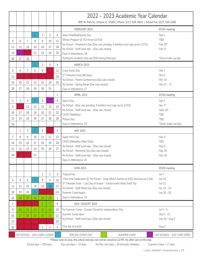|          |          |                |                             |                  |                |         | 2022 – 2023 Academic Year Calendar<br>805 W. Park St., Urbana, IL 61801   Phone: (217) 326-2824   School Fax: (217) 326-2266 |                           |  |  |
|----------|----------|----------------|-----------------------------|------------------|----------------|---------|------------------------------------------------------------------------------------------------------------------------------|---------------------------|--|--|
|          |          |                |                             |                  |                |         | FEBRUARY 2023                                                                                                                | ECHO meeting              |  |  |
|          |          |                | 1                           | $\overline{2}$   | 3              | 4       | Wear Pink/Red/Hearts Day                                                                                                     | Feb 1                     |  |  |
| 5        | 6        | 7              | 8                           | 9                | 10             | 11      | Winter Program @ The Forum at 9:30                                                                                           | <b>TBD</b>                |  |  |
| 12       | 13       | 14             | 15                          | 16               | 17             | 18      | No School - President's Day (Day care pending, 4 families must sign up by 12/15)                                             | Feb 20*                   |  |  |
| 19       | 20       | 21             | 22                          | 23               | 24             | 25      | No School - Staff work day - (Day care closed)<br>Days in Attendance: 18                                                     | Feb 21                    |  |  |
| 26       | 27       | 28             |                             |                  |                |         | Testing for students who are DHH during February.                                                                            | *Snow make-up day         |  |  |
|          |          |                | $\mathbf{1}$                | $\overline{2}$   | 3              | 4       | <b>MARCH 2023</b>                                                                                                            |                           |  |  |
| 5        | 6        | $\overline{7}$ | 8                           | 9                | 10             | 11      | Crazy Socks Day                                                                                                              | Mar 1                     |  |  |
| 12       | 13       | 14             | 15                          | 16               | 17             | 18      | 2 <sup>nd</sup> Trimester Ends (66 days)                                                                                     | Mar 3                     |  |  |
| 19       | 20       | 21             | 22                          | 23               | 24             | 25      | No School - Parent Conferences (Day care closed)                                                                             | Mar 10                    |  |  |
| 26       | 27       | 28             | 29                          | 30               | 31             |         | No School - Spring Break (Day care closed)<br>Days in Attendance: 17                                                         | Mar 13 - 17               |  |  |
|          |          |                |                             |                  |                | 1       | <b>APRIL 2023</b>                                                                                                            | <b>ECHO</b> meeting       |  |  |
| 2        | 3        | 4              | 5                           | 6                |                | 8       | Sports Day                                                                                                                   | Apr 5                     |  |  |
| 9        | 10       | 11             | 12                          | 13               | 14             | 15      | No School - (Day care pending, 4 families must sign up by 12/15)                                                             | Apr 7*                    |  |  |
|          |          |                |                             |                  |                |         | No School - Staff work day - (Day care closed)                                                                               | April 10*                 |  |  |
| 16       | 17       | 18             | 19                          | 20               | 21             | 22      | <b>CAOS Walkathon</b>                                                                                                        | <b>TBD</b>                |  |  |
| 23       | 24       | 25             | 26                          | 27               | 28             | 29      | Picture Day                                                                                                                  | <b>TBD</b>                |  |  |
| 30       |          |                |                             |                  |                |         | Days in Attendance: 18                                                                                                       | *Snow make-up days        |  |  |
|          | 1        | $\overline{2}$ | 3                           | 4                | 5              | 6       | MAY 2023                                                                                                                     |                           |  |  |
| 7        | 8        | 9              | 10                          | 11               | 12             | 13      | Super Hero Day                                                                                                               | May 3                     |  |  |
| 14       | 15       | 16             | 17                          | 18               | 19             | 20      | CAOS Walkathon (Rain Date)                                                                                                   | <b>TBD</b>                |  |  |
| 21       | 22       | 23             | 24                          | 25               | 26             | 27      | No School - Staff work day - (Day care closed)                                                                               | May 5                     |  |  |
| 28       |          |                |                             |                  |                |         |                                                                                                                              |                           |  |  |
|          |          |                |                             |                  |                |         | No School - Memorial Day (Day care closed)                                                                                   | May 29                    |  |  |
|          | 29       | 30             | 31                          |                  |                |         | No School - Staff work day - (Day care closed)                                                                               | May 30                    |  |  |
|          |          |                |                             |                  |                |         | Days in Attendance: 20                                                                                                       |                           |  |  |
|          |          |                |                             |                  |                |         | <b>JUNE 2023</b>                                                                                                             | ECHO meeting              |  |  |
|          |          |                |                             | 1                | $\overline{2}$ | 3       | <b>Tropical Day</b>                                                                                                          | Jun 7                     |  |  |
| 4        | 5        | 6              | -7                          | 8                | 9              | 10      | ^Year-End Celebration @ The Forum - Drop off/Art Auction at 9:30, dismissal at 12:00                                         | Jun 16                    |  |  |
| 11       | 12       | 13             | 14                          | 15               | 16             | 17      | 3rd Trimester Ends - Last Day of School - School-wide Family Field Trip<br>No School - Staff Work Day (Day care closed)      | Jun 21<br>Jun 22 - 23     |  |  |
| 18       | 19       | 20             | 21                          | 22               | 23             | 24      | Summer Camp begins                                                                                                           | Jun 26 - 30               |  |  |
| 25       | 26       | 27             | 28                          | 29               | 30             | 1       | Days in Attendance: 15                                                                                                       |                           |  |  |
| 2        | 3        | 4              | 5                           | $6 \overline{6}$ | 7              | 8       | JULY / AUGUST 2023                                                                                                           |                           |  |  |
| 9        | 10       | 11             | 12                          | 13               | 14             | 15      | No Summer Camp - Closed; Closed for Independence Day                                                                         | Jul $3-5$                 |  |  |
| 16       | 17       | 18             | 19                          | 20               | 21             | 22      | Summer Camp open                                                                                                             | July $6 - 21$             |  |  |
|          |          |                |                             |                  |                |         | No School - Staff work days (Day care closed)                                                                                | July 24 - Aug 2           |  |  |
| 23<br>30 | 24<br>31 | 25             | 26                          | 27<br>3          | 28<br>4        | 29<br>5 | First day of school                                                                                                          | Aug 3                     |  |  |
|          |          |                | NO SCHOOL - DAY CARE CLOSED |                  |                |         | SPECIAL EVENT DAY<br><b>SUMMER CAMP</b>                                                                                      | NO SCHOOL - DAY CARE OPEN |  |  |

School days = 200 days Day care days = 10 days No Day care days = 28 (includes holidays) Summer Camp = 17 days